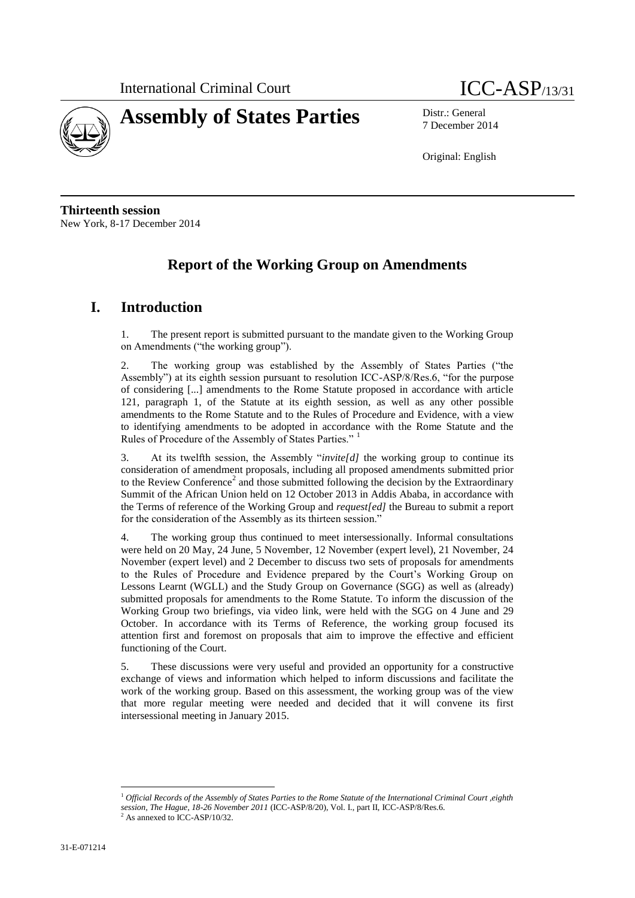



7 December 2014

Original: English

**Thirteenth session** New York, 8-17 December 2014

# **Report of the Working Group on Amendments**

# **I. Introduction**

1. The present report is submitted pursuant to the mandate given to the Working Group on Amendments ("the working group").

2. The working group was established by the Assembly of States Parties ("the Assembly") at its eighth session pursuant to resolution ICC-ASP/8/Res.6, "for the purpose of considering [...] amendments to the Rome Statute proposed in accordance with article 121, paragraph 1, of the Statute at its eighth session, as well as any other possible amendments to the Rome Statute and to the Rules of Procedure and Evidence, with a view to identifying amendments to be adopted in accordance with the Rome Statute and the Rules of Procedure of the Assembly of States Parties."

3. At its twelfth session, the Assembly "*invite[d]* the working group to continue its consideration of amendment proposals, including all proposed amendments submitted prior to the Review Conference<sup>2</sup> and those submitted following the decision by the Extraordinary Summit of the African Union held on 12 October 2013 in Addis Ababa, in accordance with the Terms of reference of the Working Group and *request[ed]* the Bureau to submit a report for the consideration of the Assembly as its thirteen session."

4. The working group thus continued to meet intersessionally. Informal consultations were held on 20 May, 24 June, 5 November, 12 November (expert level), 21 November, 24 November (expert level) and 2 December to discuss two sets of proposals for amendments to the Rules of Procedure and Evidence prepared by the Court's Working Group on Lessons Learnt (WGLL) and the Study Group on Governance (SGG) as well as (already) submitted proposals for amendments to the Rome Statute. To inform the discussion of the Working Group two briefings, via video link, were held with the SGG on 4 June and 29 October. In accordance with its Terms of Reference, the working group focused its attention first and foremost on proposals that aim to improve the effective and efficient functioning of the Court.

5. These discussions were very useful and provided an opportunity for a constructive exchange of views and information which helped to inform discussions and facilitate the work of the working group. Based on this assessment, the working group was of the view that more regular meeting were needed and decided that it will convene its first intersessional meeting in January 2015.

<sup>1</sup> *Official Records of the Assembly of States Parties to the Rome Statute of the International Criminal Court ,eighth session, The Hague, 18-26 November 2011* (ICC-ASP/8/20), Vol. I., part II, ICC-ASP/8/Res.6.

 $2$  As annexed to ICC-ASP/10/32.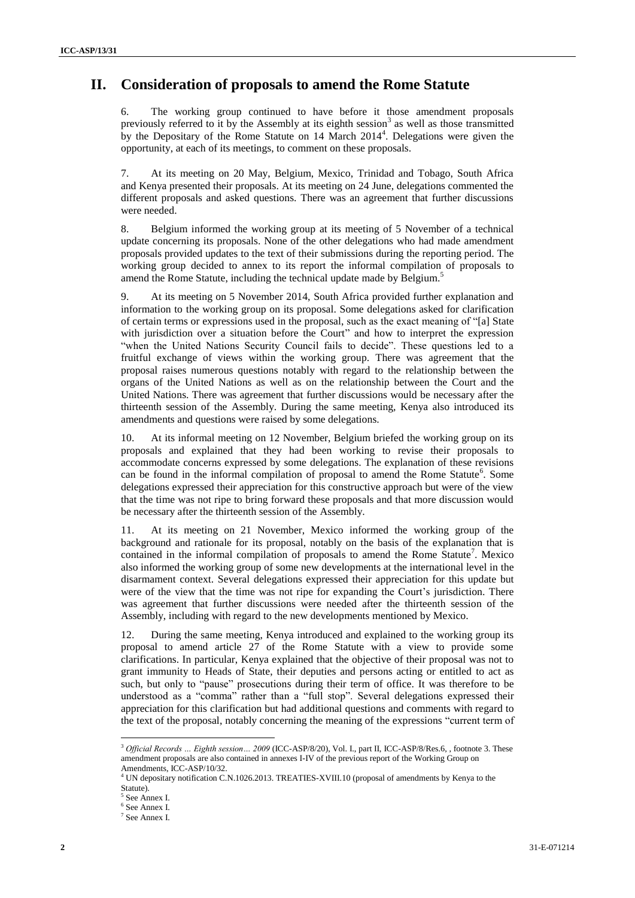# **II. Consideration of proposals to amend the Rome Statute**

6. The working group continued to have before it those amendment proposals previously referred to it by the Assembly at its eighth session<sup>3</sup> as well as those transmitted by the Depositary of the Rome Statute on  $14$  March  $2014<sup>4</sup>$ . Delegations were given the opportunity, at each of its meetings, to comment on these proposals.

7. At its meeting on 20 May, Belgium, Mexico, Trinidad and Tobago, South Africa and Kenya presented their proposals. At its meeting on 24 June, delegations commented the different proposals and asked questions. There was an agreement that further discussions were needed.

8. Belgium informed the working group at its meeting of 5 November of a technical update concerning its proposals. None of the other delegations who had made amendment proposals provided updates to the text of their submissions during the reporting period. The working group decided to annex to its report the informal compilation of proposals to amend the Rome Statute, including the technical update made by Belgium.<sup>5</sup>

9. At its meeting on 5 November 2014, South Africa provided further explanation and information to the working group on its proposal. Some delegations asked for clarification of certain terms or expressions used in the proposal, such as the exact meaning of "[a] State with jurisdiction over a situation before the Court" and how to interpret the expression "when the United Nations Security Council fails to decide". These questions led to a fruitful exchange of views within the working group. There was agreement that the proposal raises numerous questions notably with regard to the relationship between the organs of the United Nations as well as on the relationship between the Court and the United Nations. There was agreement that further discussions would be necessary after the thirteenth session of the Assembly. During the same meeting, Kenya also introduced its amendments and questions were raised by some delegations.

10. At its informal meeting on 12 November, Belgium briefed the working group on its proposals and explained that they had been working to revise their proposals to accommodate concerns expressed by some delegations. The explanation of these revisions can be found in the informal compilation of proposal to amend the Rome Statute<sup>6</sup>. Some delegations expressed their appreciation for this constructive approach but were of the view that the time was not ripe to bring forward these proposals and that more discussion would be necessary after the thirteenth session of the Assembly.

11. At its meeting on 21 November, Mexico informed the working group of the background and rationale for its proposal, notably on the basis of the explanation that is contained in the informal compilation of proposals to amend the Rome Statute<sup>7</sup>. Mexico also informed the working group of some new developments at the international level in the disarmament context. Several delegations expressed their appreciation for this update but were of the view that the time was not ripe for expanding the Court's jurisdiction. There was agreement that further discussions were needed after the thirteenth session of the Assembly, including with regard to the new developments mentioned by Mexico.

12. During the same meeting, Kenya introduced and explained to the working group its proposal to amend article 27 of the Rome Statute with a view to provide some clarifications. In particular, Kenya explained that the objective of their proposal was not to grant immunity to Heads of State, their deputies and persons acting or entitled to act as such, but only to "pause" prosecutions during their term of office. It was therefore to be understood as a "comma" rather than a "full stop". Several delegations expressed their appreciation for this clarification but had additional questions and comments with regard to the text of the proposal, notably concerning the meaning of the expressions "current term of

<sup>3</sup> *Official Records … Eighth session… 2009* (ICC-ASP/8/20), Vol. I., part II, ICC-ASP/8/Res.6, , footnote 3. These amendment proposals are also contained in annexes I-IV of the previous report of the Working Group on Amendments, ICC-ASP/10/32.

<sup>4</sup> UN depositary notification C.N.1026.2013. TREATIES-XVIII.10 (proposal of amendments by Kenya to the Statute).

<sup>5</sup> See Annex I.

<sup>6</sup> See Annex I.

<sup>7</sup> See Annex I.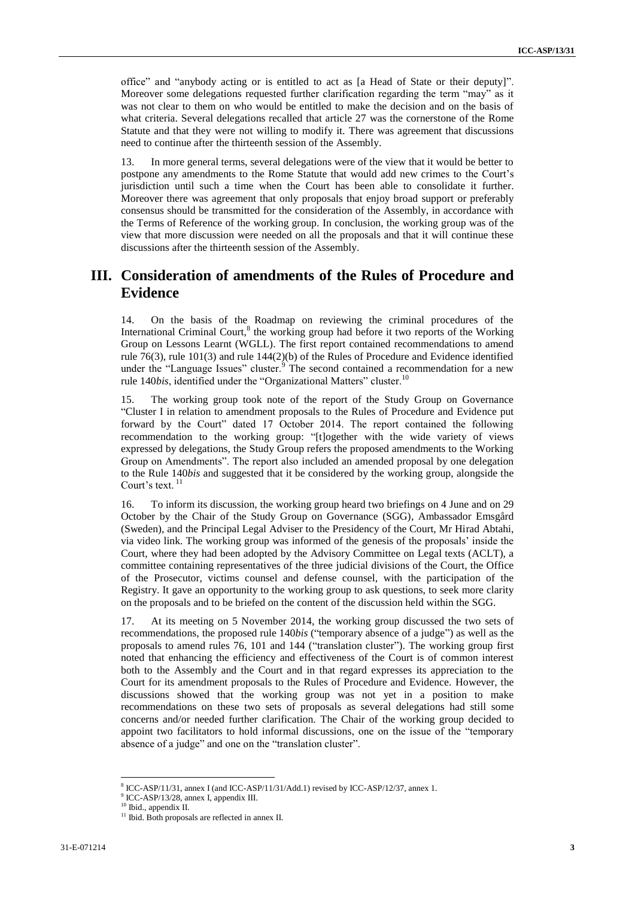office" and "anybody acting or is entitled to act as [a Head of State or their deputy]". Moreover some delegations requested further clarification regarding the term "may" as it was not clear to them on who would be entitled to make the decision and on the basis of what criteria. Several delegations recalled that article 27 was the cornerstone of the Rome Statute and that they were not willing to modify it. There was agreement that discussions need to continue after the thirteenth session of the Assembly.

13. In more general terms, several delegations were of the view that it would be better to postpone any amendments to the Rome Statute that would add new crimes to the Court's jurisdiction until such a time when the Court has been able to consolidate it further. Moreover there was agreement that only proposals that enjoy broad support or preferably consensus should be transmitted for the consideration of the Assembly, in accordance with the Terms of Reference of the working group. In conclusion, the working group was of the view that more discussion were needed on all the proposals and that it will continue these discussions after the thirteenth session of the Assembly.

# **III. Consideration of amendments of the Rules of Procedure and Evidence**

14. On the basis of the Roadmap on reviewing the criminal procedures of the International Criminal Court,<sup>8</sup> the working group had before it two reports of the Working Group on Lessons Learnt (WGLL). The first report contained recommendations to amend rule 76(3), rule 101(3) and rule 144(2)(b) of the Rules of Procedure and Evidence identified under the "Language Issues" cluster.<sup>9</sup> The second contained a recommendation for a new rule 140*bis*, identified under the "Organizational Matters" cluster.<sup>10</sup>

15. The working group took note of the report of the Study Group on Governance "Cluster I in relation to amendment proposals to the Rules of Procedure and Evidence put forward by the Court" dated 17 October 2014. The report contained the following recommendation to the working group: "[t]ogether with the wide variety of views expressed by delegations, the Study Group refers the proposed amendments to the Working Group on Amendments". The report also included an amended proposal by one delegation to the Rule 140*bis* and suggested that it be considered by the working group, alongside the Court's text.<sup>11</sup>

16. To inform its discussion, the working group heard two briefings on 4 June and on 29 October by the Chair of the Study Group on Governance (SGG), Ambassador Emsgård (Sweden), and the Principal Legal Adviser to the Presidency of the Court, Mr Hirad Abtahi, via video link. The working group was informed of the genesis of the proposals' inside the Court, where they had been adopted by the Advisory Committee on Legal texts (ACLT), a committee containing representatives of the three judicial divisions of the Court, the Office of the Prosecutor, victims counsel and defense counsel, with the participation of the Registry. It gave an opportunity to the working group to ask questions, to seek more clarity on the proposals and to be briefed on the content of the discussion held within the SGG.

17. At its meeting on 5 November 2014, the working group discussed the two sets of recommendations, the proposed rule 140*bis* ("temporary absence of a judge") as well as the proposals to amend rules 76, 101 and 144 ("translation cluster"). The working group first noted that enhancing the efficiency and effectiveness of the Court is of common interest both to the Assembly and the Court and in that regard expresses its appreciation to the Court for its amendment proposals to the Rules of Procedure and Evidence. However, the discussions showed that the working group was not yet in a position to make recommendations on these two sets of proposals as several delegations had still some concerns and/or needed further clarification. The Chair of the working group decided to appoint two facilitators to hold informal discussions, one on the issue of the "temporary absence of a judge" and one on the "translation cluster".

l <sup>8</sup> ICC-ASP/11/31, annex I (and ICC-ASP/11/31/Add.1) revised by ICC-ASP/12/37, annex 1.

<sup>9</sup> ICC-ASP/13/28, annex I, appendix III.

<sup>10</sup> Ibid., appendix II.

<sup>&</sup>lt;sup>11</sup> Ibid. Both proposals are reflected in annex II.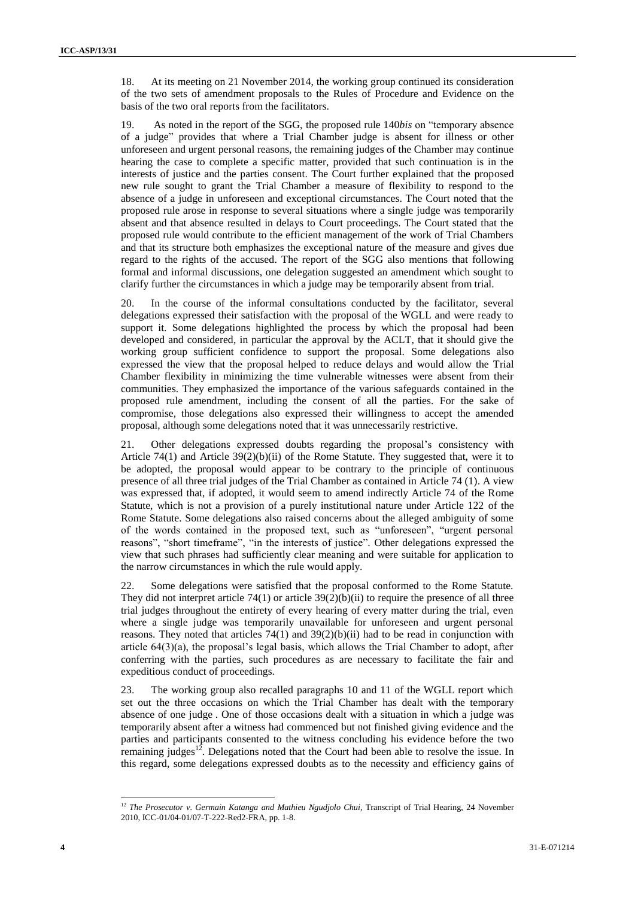18. At its meeting on 21 November 2014, the working group continued its consideration of the two sets of amendment proposals to the Rules of Procedure and Evidence on the basis of the two oral reports from the facilitators.

19. As noted in the report of the SGG, the proposed rule 140*bis* on "temporary absence of a judge" provides that where a Trial Chamber judge is absent for illness or other unforeseen and urgent personal reasons, the remaining judges of the Chamber may continue hearing the case to complete a specific matter, provided that such continuation is in the interests of justice and the parties consent. The Court further explained that the proposed new rule sought to grant the Trial Chamber a measure of flexibility to respond to the absence of a judge in unforeseen and exceptional circumstances. The Court noted that the proposed rule arose in response to several situations where a single judge was temporarily absent and that absence resulted in delays to Court proceedings. The Court stated that the proposed rule would contribute to the efficient management of the work of Trial Chambers and that its structure both emphasizes the exceptional nature of the measure and gives due regard to the rights of the accused. The report of the SGG also mentions that following formal and informal discussions, one delegation suggested an amendment which sought to clarify further the circumstances in which a judge may be temporarily absent from trial.

20. In the course of the informal consultations conducted by the facilitator, several delegations expressed their satisfaction with the proposal of the WGLL and were ready to support it. Some delegations highlighted the process by which the proposal had been developed and considered, in particular the approval by the ACLT, that it should give the working group sufficient confidence to support the proposal. Some delegations also expressed the view that the proposal helped to reduce delays and would allow the Trial Chamber flexibility in minimizing the time vulnerable witnesses were absent from their communities. They emphasized the importance of the various safeguards contained in the proposed rule amendment, including the consent of all the parties. For the sake of compromise, those delegations also expressed their willingness to accept the amended proposal, although some delegations noted that it was unnecessarily restrictive.

21. Other delegations expressed doubts regarding the proposal's consistency with Article 74(1) and Article  $39(2)(b)(ii)$  of the Rome Statute. They suggested that, were it to be adopted, the proposal would appear to be contrary to the principle of continuous presence of all three trial judges of the Trial Chamber as contained in Article 74 (1). A view was expressed that, if adopted, it would seem to amend indirectly Article 74 of the Rome Statute, which is not a provision of a purely institutional nature under Article 122 of the Rome Statute. Some delegations also raised concerns about the alleged ambiguity of some of the words contained in the proposed text, such as "unforeseen", "urgent personal reasons", "short timeframe", "in the interests of justice". Other delegations expressed the view that such phrases had sufficiently clear meaning and were suitable for application to the narrow circumstances in which the rule would apply.

22. Some delegations were satisfied that the proposal conformed to the Rome Statute. They did not interpret article  $74(1)$  or article  $39(2)(b)(ii)$  to require the presence of all three trial judges throughout the entirety of every hearing of every matter during the trial, even where a single judge was temporarily unavailable for unforeseen and urgent personal reasons. They noted that articles 74(1) and 39(2)(b)(ii) had to be read in conjunction with article 64(3)(a), the proposal's legal basis, which allows the Trial Chamber to adopt, after conferring with the parties, such procedures as are necessary to facilitate the fair and expeditious conduct of proceedings.

23. The working group also recalled paragraphs 10 and 11 of the WGLL report which set out the three occasions on which the Trial Chamber has dealt with the temporary absence of one judge . One of those occasions dealt with a situation in which a judge was temporarily absent after a witness had commenced but not finished giving evidence and the parties and participants consented to the witness concluding his evidence before the two remaining judges<sup>12</sup>. Delegations noted that the Court had been able to resolve the issue. In this regard, some delegations expressed doubts as to the necessity and efficiency gains of

 $\overline{a}$ 

<sup>12</sup> *The Prosecutor v. Germain Katanga and Mathieu Ngudjolo Chui*, Transcript of Trial Hearing, 24 November 2010, ICC-01/04-01/07-T-222-Red2-FRA, pp. 1-8.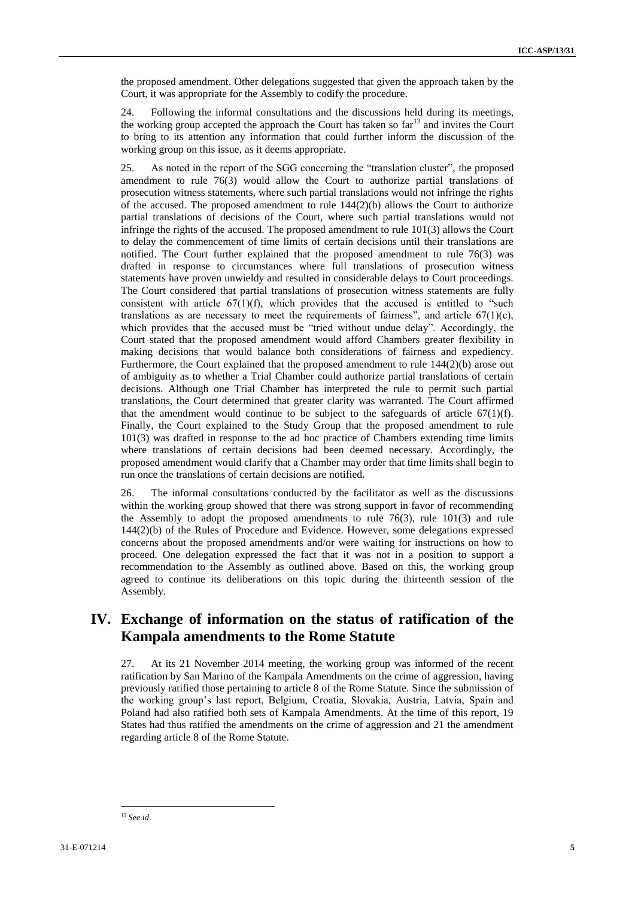the proposed amendment. Other delegations suggested that given the approach taken by the Court, it was appropriate for the Assembly to codify the procedure.

24. Following the informal consultations and the discussions held during its meetings, the working group accepted the approach the Court has taken so far<sup>13</sup> and invites the Court to bring to its attention any information that could further inform the discussion of the working group on this issue, as it deems appropriate.

25. As noted in the report of the SGG concerning the "translation cluster", the proposed amendment to rule 76(3) would allow the Court to authorize partial translations of prosecution witness statements, where such partial translations would not infringe the rights of the accused. The proposed amendment to rule 144(2)(b) allows the Court to authorize partial translations of decisions of the Court, where such partial translations would not infringe the rights of the accused. The proposed amendment to rule 101(3) allows the Court to delay the commencement of time limits of certain decisions until their translations are notified. The Court further explained that the proposed amendment to rule 76(3) was drafted in response to circumstances where full translations of prosecution witness statements have proven unwieldy and resulted in considerable delays to Court proceedings. The Court considered that partial translations of prosecution witness statements are fully consistent with article  $67(1)(f)$ , which provides that the accused is entitled to "such translations as are necessary to meet the requirements of fairness", and article  $67(1)(c)$ , which provides that the accused must be "tried without undue delay". Accordingly, the Court stated that the proposed amendment would afford Chambers greater flexibility in making decisions that would balance both considerations of fairness and expediency. Furthermore, the Court explained that the proposed amendment to rule 144(2)(b) arose out of ambiguity as to whether a Trial Chamber could authorize partial translations of certain decisions. Although one Trial Chamber has interpreted the rule to permit such partial translations, the Court determined that greater clarity was warranted. The Court affirmed that the amendment would continue to be subject to the safeguards of article  $67(1)(f)$ . Finally, the Court explained to the Study Group that the proposed amendment to rule 101(3) was drafted in response to the ad hoc practice of Chambers extending time limits where translations of certain decisions had been deemed necessary. Accordingly, the proposed amendment would clarify that a Chamber may order that time limits shall begin to run once the translations of certain decisions are notified.

26. The informal consultations conducted by the facilitator as well as the discussions within the working group showed that there was strong support in favor of recommending the Assembly to adopt the proposed amendments to rule 76(3), rule 101(3) and rule 144(2)(b) of the Rules of Procedure and Evidence. However, some delegations expressed concerns about the proposed amendments and/or were waiting for instructions on how to proceed. One delegation expressed the fact that it was not in a position to support a recommendation to the Assembly as outlined above. Based on this, the working group agreed to continue its deliberations on this topic during the thirteenth session of the Assembly.

# **IV. Exchange of information on the status of ratification of the Kampala amendments to the Rome Statute**

27. At its 21 November 2014 meeting, the working group was informed of the recent ratification by San Marino of the Kampala Amendments on the crime of aggression, having previously ratified those pertaining to article 8 of the Rome Statute. Since the submission of the working group's last report, Belgium, Croatia, Slovakia, Austria, Latvia, Spain and Poland had also ratified both sets of Kampala Amendments. At the time of this report, 19 States had thus ratified the amendments on the crime of aggression and 21 the amendment regarding article 8 of the Rome Statute.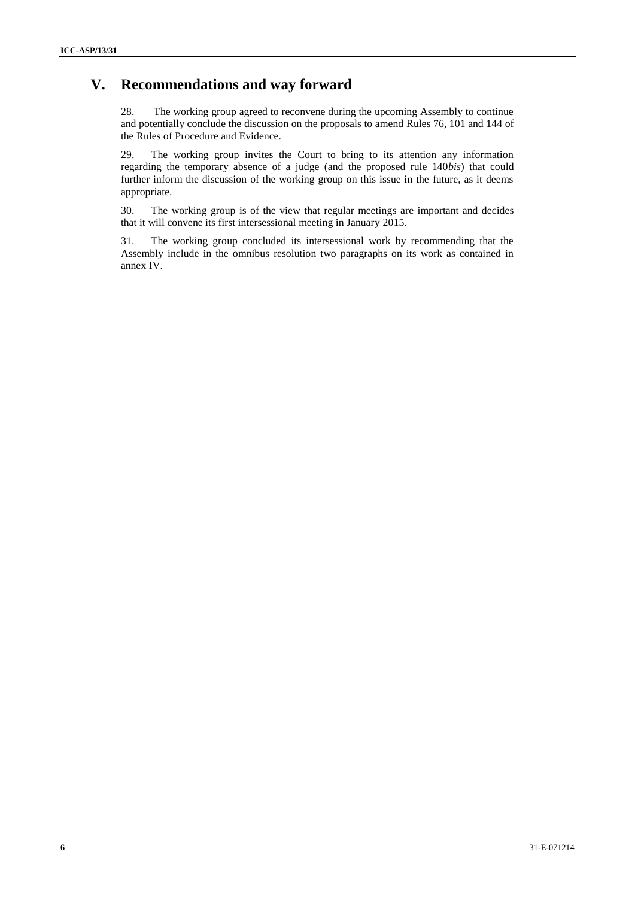# **V. Recommendations and way forward**

28. The working group agreed to reconvene during the upcoming Assembly to continue and potentially conclude the discussion on the proposals to amend Rules 76, 101 and 144 of the Rules of Procedure and Evidence.

29. The working group invites the Court to bring to its attention any information regarding the temporary absence of a judge (and the proposed rule 140*bis*) that could further inform the discussion of the working group on this issue in the future, as it deems appropriate.

30. The working group is of the view that regular meetings are important and decides that it will convene its first intersessional meeting in January 2015.

31. The working group concluded its intersessional work by recommending that the Assembly include in the omnibus resolution two paragraphs on its work as contained in annex IV.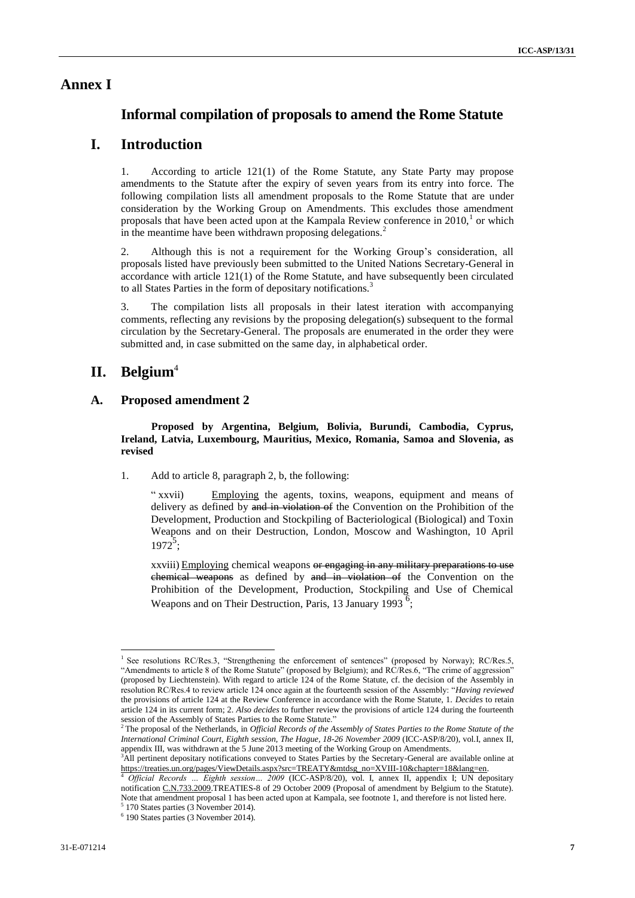## **Annex I**

## **Informal compilation of proposals to amend the Rome Statute**

## **I. Introduction**

1. According to article 121(1) of the Rome Statute, any State Party may propose amendments to the Statute after the expiry of seven years from its entry into force. The following compilation lists all amendment proposals to the Rome Statute that are under consideration by the Working Group on Amendments. This excludes those amendment proposals that have been acted upon at the Kampala Review conference in  $2010<sup>1</sup>$  or which in the meantime have been withdrawn proposing delegations.<sup>2</sup>

2. Although this is not a requirement for the Working Group's consideration, all proposals listed have previously been submitted to the United Nations Secretary-General in accordance with article 121(1) of the Rome Statute, and have subsequently been circulated to all States Parties in the form of depositary notifications.<sup>3</sup>

3. The compilation lists all proposals in their latest iteration with accompanying comments, reflecting any revisions by the proposing delegation(s) subsequent to the formal circulation by the Secretary-General. The proposals are enumerated in the order they were submitted and, in case submitted on the same day, in alphabetical order.

## **II. Belgium**<sup>4</sup>

### **A. Proposed amendment 2**

**Proposed by Argentina, Belgium, Bolivia, Burundi, Cambodia, Cyprus, Ireland, Latvia, Luxembourg, Mauritius, Mexico, Romania, Samoa and Slovenia, as revised**

1. Add to article 8, paragraph 2, b, the following:

" xxvii) Employing the agents, toxins, weapons, equipment and means of delivery as defined by and in violation of the Convention on the Prohibition of the Development, Production and Stockpiling of Bacteriological (Biological) and Toxin Weapons and on their Destruction, London, Moscow and Washington, 10 April  $1972^5$ ;

xxviii) Employing chemical weapons or engaging in any military preparations to use chemical weapons as defined by and in violation of the Convention on the Prohibition of the Development, Production, Stockpiling and Use of Chemical Weapons and on Their Destruction, Paris, 13 January 1993<sup>6</sup>;

 $\overline{a}$ <sup>1</sup> See resolutions RC/Res.3, "Strengthening the enforcement of sentences" (proposed by Norway); RC/Res.5, "Amendments to article 8 of the Rome Statute" (proposed by Belgium); and RC/Res.6, "The crime of aggression" (proposed by Liechtenstein). With regard to article 124 of the Rome Statute, cf. the decision of the Assembly in resolution RC/Res.4 to review article 124 once again at the fourteenth session of the Assembly: "*Having reviewed*  the provisions of article 124 at the Review Conference in accordance with the Rome Statute, 1. *Decides* to retain article 124 in its current form; 2. *Also decides* to further review the provisions of article 124 during the fourteenth session of the Assembly of States Parties to the Rome Statute."

<sup>2</sup> The proposal of the Netherlands, in *Official Records of the Assembly of States Parties to the Rome Statute of the International Criminal Court, Eighth session, The Hague, 18-26 November 2009* (ICC-ASP/8/20), vol.I, annex II, appendix III, was withdrawn at the 5 June 2013 meeting of the Working Group on Amendments.

<sup>&</sup>lt;sup>3</sup>All pertinent depositary notifications conveyed to States Parties by the Secretary-General are available online at [https://treaties.un.org/pages/ViewDetails.aspx?src=TREATY&mtdsg\\_no=XVIII-10&chapter=18&lang=en.](https://treaties.un.org/pages/ViewDetails.aspx?src=TREATY&mtdsg_no=XVIII-10&chapter=18&lang=en)<br>4. Official Baccross Eighth assessive 2000.000.000.15E\@@@

<sup>4</sup> *Official Records … Eighth session… 2009* (ICC-ASP/8/20), vol. I, annex II, appendix I; UN depositary notificatio[n C.N.733.2009.T](http://treaties.un.org/doc/Publication/CN/2009/CN.733.2009-Eng.pdf)REATIES-8 of 29 October 2009 (Proposal of amendment by Belgium to the Statute). Note that amendment proposal 1 has been acted upon at Kampala, see footnote 1, and therefore is not listed here.

<sup>5</sup> 170 States parties (3 November 2014). 6 190 States parties (3 November 2014).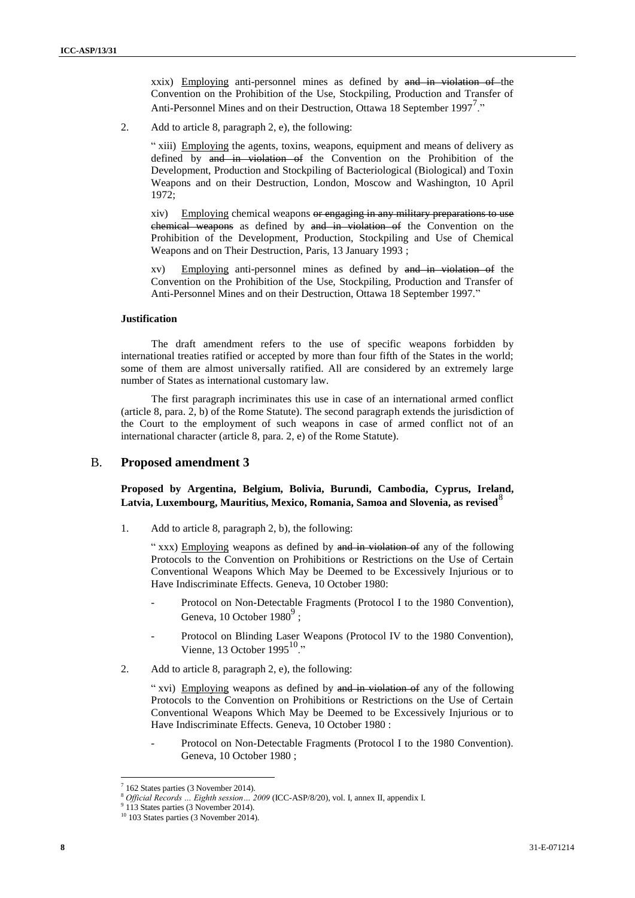xxix) Employing anti-personnel mines as defined by and in violation of the Convention on the Prohibition of the Use, Stockpiling, Production and Transfer of Anti-Personnel Mines and on their Destruction, Ottawa 18 September 1997<sup>7</sup>."

2. Add to article 8, paragraph 2, e), the following:

" xiii) Employing the agents, toxins, weapons, equipment and means of delivery as defined by and in violation of the Convention on the Prohibition of the Development, Production and Stockpiling of Bacteriological (Biological) and Toxin Weapons and on their Destruction, London, Moscow and Washington, 10 April 1972;

xiv) Employing chemical weapons or engaging in any military preparations to use chemical weapons as defined by and in violation of the Convention on the Prohibition of the Development, Production, Stockpiling and Use of Chemical Weapons and on Their Destruction, Paris, 13 January 1993 ;

xv) Employing anti-personnel mines as defined by and in violation of the Convention on the Prohibition of the Use, Stockpiling, Production and Transfer of Anti-Personnel Mines and on their Destruction, Ottawa 18 September 1997."

#### **Justification**

The draft amendment refers to the use of specific weapons forbidden by international treaties ratified or accepted by more than four fifth of the States in the world; some of them are almost universally ratified. All are considered by an extremely large number of States as international customary law.

The first paragraph incriminates this use in case of an international armed conflict (article 8, para. 2, b) of the Rome Statute). The second paragraph extends the jurisdiction of the Court to the employment of such weapons in case of armed conflict not of an international character (article 8, para. 2, e) of the Rome Statute).

#### B. **Proposed amendment 3**

### **Proposed by Argentina, Belgium, Bolivia, Burundi, Cambodia, Cyprus, Ireland,**  Latvia, Luxembourg, Mauritius, Mexico, Romania, Samoa and Slovenia, as revised<sup>o</sup>

1. Add to article 8, paragraph 2, b), the following:

" xxx) Employing weapons as defined by and in violation of any of the following Protocols to the Convention on Prohibitions or Restrictions on the Use of Certain Conventional Weapons Which May be Deemed to be Excessively Injurious or to Have Indiscriminate Effects. Geneva, 10 October 1980:

- Protocol on Non-Detectable Fragments (Protocol I to the 1980 Convention), Geneva, 10 October 1980 $^9$ ;
- Protocol on Blinding Laser Weapons (Protocol IV to the 1980 Convention), Vienne, 13 October  $1995^{10}$ <sup>"</sup>
- 2. Add to article 8, paragraph 2, e), the following:

" xvi) Employing weapons as defined by and in violation of any of the following Protocols to the Convention on Prohibitions or Restrictions on the Use of Certain Conventional Weapons Which May be Deemed to be Excessively Injurious or to Have Indiscriminate Effects. Geneva, 10 October 1980 :

Protocol on Non-Detectable Fragments (Protocol I to the 1980 Convention). Geneva, 10 October 1980 ;

<sup>7</sup> 162 States parties (3 November 2014).

<sup>8</sup> *Official Records … Eighth session… 2009* (ICC-ASP/8/20), vol. I, annex II, appendix I.

<sup>9</sup> 113 States parties (3 November 2014).

<sup>&</sup>lt;sup>10</sup> 103 States parties (3 November 2014).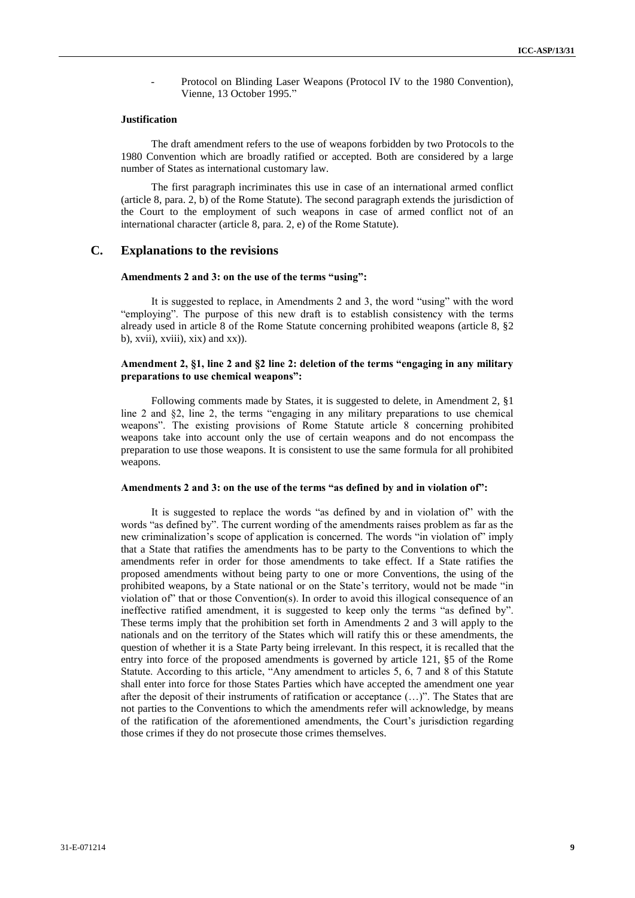Protocol on Blinding Laser Weapons (Protocol IV to the 1980 Convention), Vienne, 13 October 1995."

#### **Justification**

The draft amendment refers to the use of weapons forbidden by two Protocols to the 1980 Convention which are broadly ratified or accepted. Both are considered by a large number of States as international customary law.

The first paragraph incriminates this use in case of an international armed conflict (article 8, para. 2, b) of the Rome Statute). The second paragraph extends the jurisdiction of the Court to the employment of such weapons in case of armed conflict not of an international character (article 8, para. 2, e) of the Rome Statute).

## **C. Explanations to the revisions**

#### **Amendments 2 and 3: on the use of the terms "using":**

It is suggested to replace, in Amendments 2 and 3, the word "using" with the word "employing". The purpose of this new draft is to establish consistency with the terms already used in article 8 of the Rome Statute concerning prohibited weapons (article 8, §2  $(b)$ , xvii), xviii), xix) and xx)).

#### **Amendment 2, §1, line 2 and §2 line 2: deletion of the terms "engaging in any military preparations to use chemical weapons":**

Following comments made by States, it is suggested to delete, in Amendment 2, §1 line 2 and §2, line 2, the terms "engaging in any military preparations to use chemical weapons". The existing provisions of Rome Statute article 8 concerning prohibited weapons take into account only the use of certain weapons and do not encompass the preparation to use those weapons. It is consistent to use the same formula for all prohibited weapons.

#### **Amendments 2 and 3: on the use of the terms "as defined by and in violation of":**

It is suggested to replace the words "as defined by and in violation of" with the words "as defined by". The current wording of the amendments raises problem as far as the new criminalization's scope of application is concerned. The words "in violation of" imply that a State that ratifies the amendments has to be party to the Conventions to which the amendments refer in order for those amendments to take effect. If a State ratifies the proposed amendments without being party to one or more Conventions, the using of the prohibited weapons, by a State national or on the State's territory, would not be made "in violation of" that or those Convention(s). In order to avoid this illogical consequence of an ineffective ratified amendment, it is suggested to keep only the terms "as defined by". These terms imply that the prohibition set forth in Amendments 2 and 3 will apply to the nationals and on the territory of the States which will ratify this or these amendments, the question of whether it is a State Party being irrelevant. In this respect, it is recalled that the entry into force of the proposed amendments is governed by article 121, §5 of the Rome Statute. According to this article, "Any amendment to articles 5, 6, 7 and 8 of this Statute shall enter into force for those States Parties which have accepted the amendment one year after the deposit of their instruments of ratification or acceptance (…)". The States that are not parties to the Conventions to which the amendments refer will acknowledge, by means of the ratification of the aforementioned amendments, the Court's jurisdiction regarding those crimes if they do not prosecute those crimes themselves.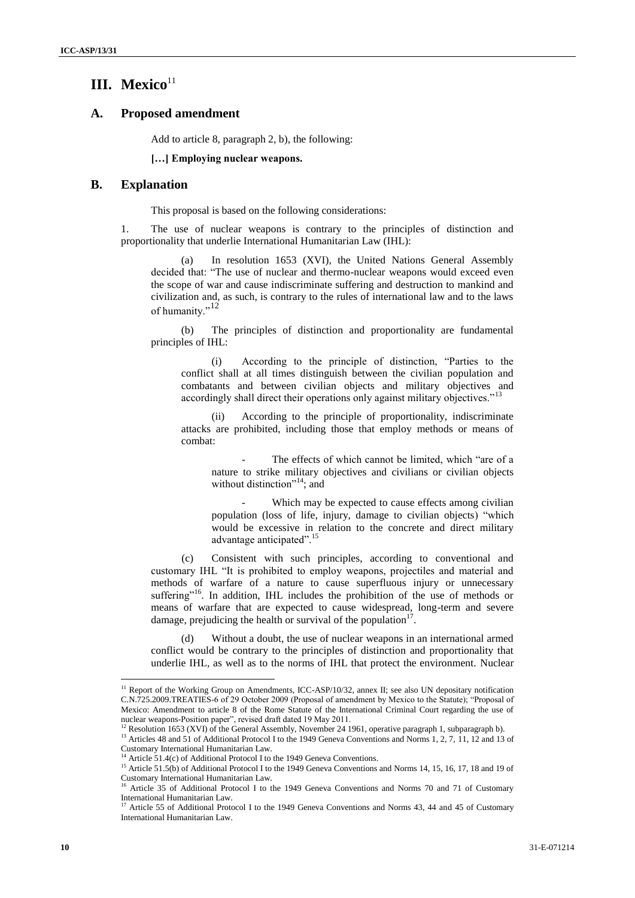## **III. Mexico**<sup>11</sup>

#### **A. Proposed amendment**

Add to article 8, paragraph 2, b), the following:

#### **[…] Employing nuclear weapons.**

## **B. Explanation**

This proposal is based on the following considerations:

1. The use of nuclear weapons is contrary to the principles of distinction and proportionality that underlie International Humanitarian Law (IHL):

(a) In resolution 1653 (XVI), the United Nations General Assembly decided that: "The use of nuclear and thermo-nuclear weapons would exceed even the scope of war and cause indiscriminate suffering and destruction to mankind and civilization and, as such, is contrary to the rules of international law and to the laws of humanity."<sup>12</sup>

(b) The principles of distinction and proportionality are fundamental principles of IHL:

(i) According to the principle of distinction, "Parties to the conflict shall at all times distinguish between the civilian population and combatants and between civilian objects and military objectives and accordingly shall direct their operations only against military objectives."<sup>13</sup>

(ii) According to the principle of proportionality, indiscriminate attacks are prohibited, including those that employ methods or means of combat:

The effects of which cannot be limited, which "are of a nature to strike military objectives and civilians or civilian objects without distinction"<sup>14</sup>; and

Which may be expected to cause effects among civilian population (loss of life, injury, damage to civilian objects) "which would be excessive in relation to the concrete and direct military advantage anticipated".<sup>15</sup>

(c) Consistent with such principles, according to conventional and customary IHL "It is prohibited to employ weapons, projectiles and material and methods of warfare of a nature to cause superfluous injury or unnecessary suffering"<sup>16</sup>. In addition, IHL includes the prohibition of the use of methods or means of warfare that are expected to cause widespread, long-term and severe damage, prejudicing the health or survival of the population $17$ .

(d) Without a doubt, the use of nuclear weapons in an international armed conflict would be contrary to the principles of distinction and proportionality that underlie IHL, as well as to the norms of IHL that protect the environment. Nuclear

<sup>&</sup>lt;sup>11</sup> Report of the Working Group on Amendments, ICC-ASP/10/32, annex II; see also UN depositary notification [C.N.725.2009.T](http://treaties.un.org/doc/Publication/CN/2009/CN.725.2009-Eng.pdf)REATIES-6 of 29 October 2009 (Proposal of amendment by Mexico to the Statute); "Proposal of Mexico: Amendment to article 8 of the Rome Statute of the International Criminal Court regarding the use of nuclear weapons-Position paper", revised draft dated 19 May 2011.

<sup>&</sup>lt;sup>12</sup> Resolution 1653 (XVI) of the General Assembly, November 24 1961, operative paragraph 1, subparagraph b).

<sup>&</sup>lt;sup>13</sup> Articles 48 and 51 of Additional Protocol I to the 1949 Geneva Conventions and Norms 1, 2, 7, 11, 12 and 13 of Customary International Humanitarian Law.

<sup>&</sup>lt;sup>14</sup> Article 51.4(c) of Additional Protocol I to the 1949 Geneva Conventions.

<sup>&</sup>lt;sup>15</sup> Article 51.5(b) of Additional Protocol I to the 1949 Geneva Conventions and Norms 14, 15, 16, 17, 18 and 19 of Customary International Humanitarian Law.

<sup>&</sup>lt;sup>16</sup> Article 35 of Additional Protocol I to the 1949 Geneva Conventions and Norms 70 and 71 of Customary International Humanitarian Law.

Article 55 of Additional Protocol I to the 1949 Geneva Conventions and Norms 43, 44 and 45 of Customary International Humanitarian Law.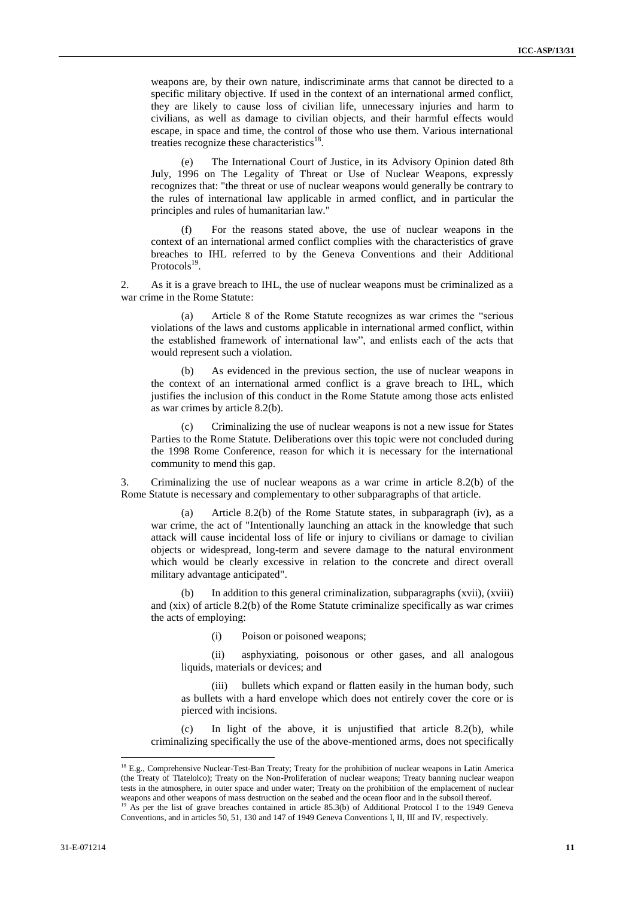weapons are, by their own nature, indiscriminate arms that cannot be directed to a specific military objective. If used in the context of an international armed conflict, they are likely to cause loss of civilian life, unnecessary injuries and harm to civilians, as well as damage to civilian objects, and their harmful effects would escape, in space and time, the control of those who use them. Various international treaties recognize these characteristics<sup>18</sup>.

(e) The International Court of Justice, in its Advisory Opinion dated 8th July, 1996 on The Legality of Threat or Use of Nuclear Weapons, expressly recognizes that: "the threat or use of nuclear weapons would generally be contrary to the rules of international law applicable in armed conflict, and in particular the principles and rules of humanitarian law."

(f) For the reasons stated above, the use of nuclear weapons in the context of an international armed conflict complies with the characteristics of grave breaches to IHL referred to by the Geneva Conventions and their Additional Protocols<sup>19</sup>.

2. As it is a grave breach to IHL, the use of nuclear weapons must be criminalized as a war crime in the Rome Statute:

(a) Article 8 of the Rome Statute recognizes as war crimes the "serious violations of the laws and customs applicable in international armed conflict, within the established framework of international law", and enlists each of the acts that would represent such a violation.

(b) As evidenced in the previous section, the use of nuclear weapons in the context of an international armed conflict is a grave breach to IHL, which justifies the inclusion of this conduct in the Rome Statute among those acts enlisted as war crimes by article 8.2(b).

(c) Criminalizing the use of nuclear weapons is not a new issue for States Parties to the Rome Statute. Deliberations over this topic were not concluded during the 1998 Rome Conference, reason for which it is necessary for the international community to mend this gap.

3. Criminalizing the use of nuclear weapons as a war crime in article 8.2(b) of the Rome Statute is necessary and complementary to other subparagraphs of that article.

(a) Article 8.2(b) of the Rome Statute states, in subparagraph (iv), as a war crime, the act of "Intentionally launching an attack in the knowledge that such attack will cause incidental loss of life or injury to civilians or damage to civilian objects or widespread, long-term and severe damage to the natural environment which would be clearly excessive in relation to the concrete and direct overall military advantage anticipated".

(b) In addition to this general criminalization, subparagraphs (xvii), (xviii) and (xix) of article 8.2(b) of the Rome Statute criminalize specifically as war crimes the acts of employing:

(i) Poison or poisoned weapons;

(ii) asphyxiating, poisonous or other gases, and all analogous liquids, materials or devices; and

(iii) bullets which expand or flatten easily in the human body, such as bullets with a hard envelope which does not entirely cover the core or is pierced with incisions.

(c) In light of the above, it is unjustified that article 8.2(b), while criminalizing specifically the use of the above-mentioned arms, does not specifically

<sup>&</sup>lt;sup>18</sup> E.g., Comprehensive Nuclear-Test-Ban Treaty; Treaty for the prohibition of nuclear weapons in Latin America (the Treaty of Tlatelolco); Treaty on the Non-Proliferation of nuclear weapons; Treaty banning nuclear weapon tests in the atmosphere, in outer space and under water; Treaty on the prohibition of the emplacement of nuclear weapons and other weapons of mass destruction on the seabed and the ocean floor and in the subsoil thereof.<br><sup>19</sup> As ner the list of grave breashes such that is a contract of a contract of the subsoil thereof.

<sup>19</sup> As per the list of grave breaches contained in article 85.3(b) of Additional Protocol I to the 1949 Geneva Conventions, and in articles 50, 51, 130 and 147 of 1949 Geneva Conventions I, II, III and IV, respectively.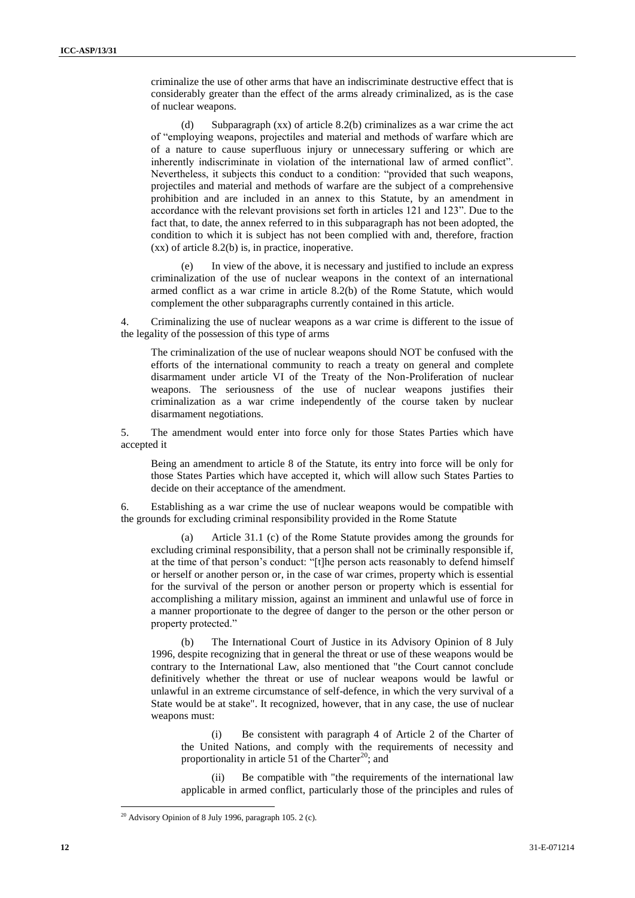criminalize the use of other arms that have an indiscriminate destructive effect that is considerably greater than the effect of the arms already criminalized, as is the case of nuclear weapons.

(d) Subparagraph (xx) of article 8.2(b) criminalizes as a war crime the act of "employing weapons, projectiles and material and methods of warfare which are of a nature to cause superfluous injury or unnecessary suffering or which are inherently indiscriminate in violation of the international law of armed conflict". Nevertheless, it subjects this conduct to a condition: "provided that such weapons, projectiles and material and methods of warfare are the subject of a comprehensive prohibition and are included in an annex to this Statute, by an amendment in accordance with the relevant provisions set forth in articles 121 and 123". Due to the fact that, to date, the annex referred to in this subparagraph has not been adopted, the condition to which it is subject has not been complied with and, therefore, fraction (xx) of article 8.2(b) is, in practice, inoperative.

(e) In view of the above, it is necessary and justified to include an express criminalization of the use of nuclear weapons in the context of an international armed conflict as a war crime in article 8.2(b) of the Rome Statute, which would complement the other subparagraphs currently contained in this article.

4. Criminalizing the use of nuclear weapons as a war crime is different to the issue of the legality of the possession of this type of arms

The criminalization of the use of nuclear weapons should NOT be confused with the efforts of the international community to reach a treaty on general and complete disarmament under article VI of the Treaty of the Non-Proliferation of nuclear weapons. The seriousness of the use of nuclear weapons justifies their criminalization as a war crime independently of the course taken by nuclear disarmament negotiations.

5. The amendment would enter into force only for those States Parties which have accepted it

Being an amendment to article 8 of the Statute, its entry into force will be only for those States Parties which have accepted it, which will allow such States Parties to decide on their acceptance of the amendment.

6. Establishing as a war crime the use of nuclear weapons would be compatible with the grounds for excluding criminal responsibility provided in the Rome Statute

(a) Article 31.1 (c) of the Rome Statute provides among the grounds for excluding criminal responsibility, that a person shall not be criminally responsible if, at the time of that person's conduct: "[t]he person acts reasonably to defend himself or herself or another person or, in the case of war crimes, property which is essential for the survival of the person or another person or property which is essential for accomplishing a military mission, against an imminent and unlawful use of force in a manner proportionate to the degree of danger to the person or the other person or property protected."

(b) The International Court of Justice in its Advisory Opinion of 8 July 1996, despite recognizing that in general the threat or use of these weapons would be contrary to the International Law, also mentioned that "the Court cannot conclude definitively whether the threat or use of nuclear weapons would be lawful or unlawful in an extreme circumstance of self-defence, in which the very survival of a State would be at stake". It recognized, however, that in any case, the use of nuclear weapons must:

(i) Be consistent with paragraph 4 of Article 2 of the Charter of the United Nations, and comply with the requirements of necessity and proportionality in article 51 of the Charter<sup>20</sup>; and

(ii) Be compatible with "the requirements of the international law applicable in armed conflict, particularly those of the principles and rules of

 $20$  Advisory Opinion of 8 July 1996, paragraph 105. 2 (c).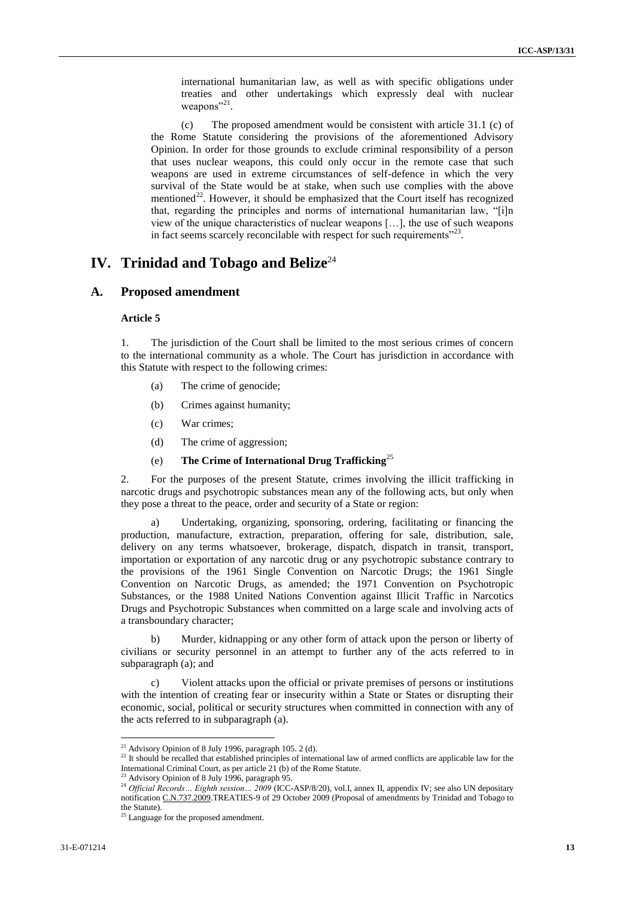international humanitarian law, as well as with specific obligations under treaties and other undertakings which expressly deal with nuclear weapons"<sup>21</sup>.

(c) The proposed amendment would be consistent with article 31.1 (c) of the Rome Statute considering the provisions of the aforementioned Advisory Opinion. In order for those grounds to exclude criminal responsibility of a person that uses nuclear weapons, this could only occur in the remote case that such weapons are used in extreme circumstances of self-defence in which the very survival of the State would be at stake, when such use complies with the above mentioned<sup>22</sup>. However, it should be emphasized that the Court itself has recognized that, regarding the principles and norms of international humanitarian law, "[i]n view of the unique characteristics of nuclear weapons […], the use of such weapons in fact seems scarcely reconcilable with respect for such requirements $^{22}$ .

## **IV.** Trinidad and Tobago and Belize<sup>24</sup>

### **A. Proposed amendment**

#### **Article 5**

1. The jurisdiction of the Court shall be limited to the most serious crimes of concern to the international community as a whole. The Court has jurisdiction in accordance with this Statute with respect to the following crimes:

- (a) The crime of genocide;
- (b) Crimes against humanity;
- (c) War crimes;
- (d) The crime of aggression;
- (e) **The Crime of International Drug Trafficking**<sup>25</sup>

2. For the purposes of the present Statute, crimes involving the illicit trafficking in narcotic drugs and psychotropic substances mean any of the following acts, but only when they pose a threat to the peace, order and security of a State or region:

Undertaking, organizing, sponsoring, ordering, facilitating or financing the production, manufacture, extraction, preparation, offering for sale, distribution, sale, delivery on any terms whatsoever, brokerage, dispatch, dispatch in transit, transport, importation or exportation of any narcotic drug or any psychotropic substance contrary to the provisions of the 1961 Single Convention on Narcotic Drugs; the 1961 Single Convention on Narcotic Drugs, as amended; the 1971 Convention on Psychotropic Substances, or the 1988 United Nations Convention against Illicit Traffic in Narcotics Drugs and Psychotropic Substances when committed on a large scale and involving acts of a transboundary character;

b) Murder, kidnapping or any other form of attack upon the person or liberty of civilians or security personnel in an attempt to further any of the acts referred to in subparagraph (a); and

c) Violent attacks upon the official or private premises of persons or institutions with the intention of creating fear or insecurity within a State or States or disrupting their economic, social, political or security structures when committed in connection with any of the acts referred to in subparagraph (a).

 $21$  Advisory Opinion of 8 July 1996, paragraph 105. 2 (d).

<sup>&</sup>lt;sup>22</sup> It should be recalled that established principles of international law of armed conflicts are applicable law for the International Criminal Court, as per article 21 (b) of the Rome Statute.

<sup>23</sup> Advisory Opinion of 8 July 1996, paragraph 95.

<sup>&</sup>lt;sup>24</sup> Official Records… Eighth session… 2009 (ICC-ASP/8/20), vol.I, annex II, appendix IV; see also UN depositary notificatio[n C.N.737.2009.T](http://treaties.un.org/doc/Publication/CN/2009/CN.737.2009-Eng.pdf)REATIES-9 of 29 October 2009 (Proposal of amendments by Trinidad and Tobago to the Statute).

<sup>&</sup>lt;sup>25</sup> Language for the proposed amendment.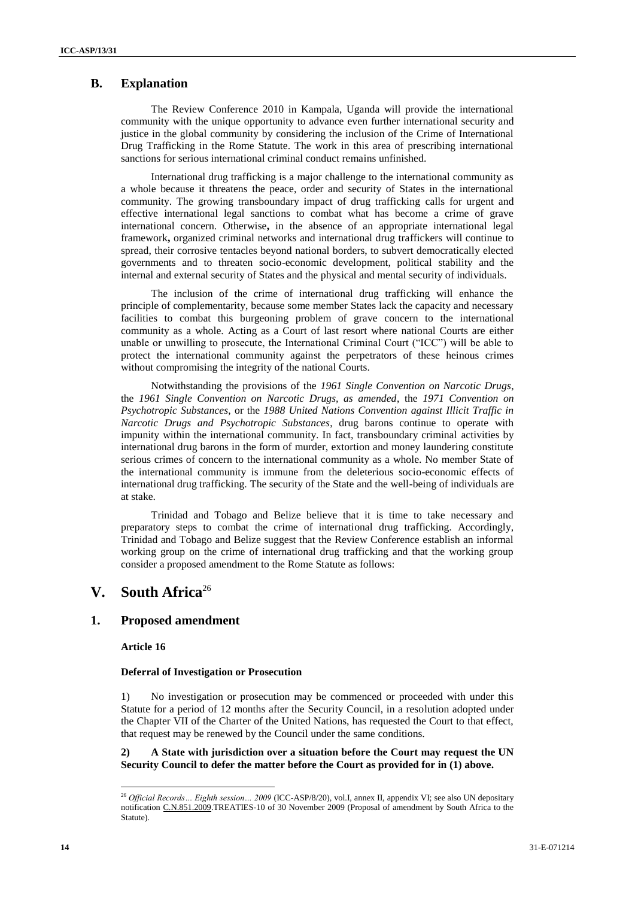## **B. Explanation**

The Review Conference 2010 in Kampala, Uganda will provide the international community with the unique opportunity to advance even further international security and justice in the global community by considering the inclusion of the Crime of International Drug Trafficking in the Rome Statute. The work in this area of prescribing international sanctions for serious international criminal conduct remains unfinished.

International drug trafficking is a major challenge to the international community as a whole because it threatens the peace, order and security of States in the international community. The growing transboundary impact of drug trafficking calls for urgent and effective international legal sanctions to combat what has become a crime of grave international concern. Otherwise**,** in the absence of an appropriate international legal framework**,** organized criminal networks and international drug traffickers will continue to spread, their corrosive tentacles beyond national borders, to subvert democratically elected governments and to threaten socio-economic development, political stability and the internal and external security of States and the physical and mental security of individuals.

The inclusion of the crime of international drug trafficking will enhance the principle of complementarity, because some member States lack the capacity and necessary facilities to combat this burgeoning problem of grave concern to the international community as a whole. Acting as a Court of last resort where national Courts are either unable or unwilling to prosecute, the International Criminal Court ("ICC") will be able to protect the international community against the perpetrators of these heinous crimes without compromising the integrity of the national Courts.

Notwithstanding the provisions of the *1961 Single Convention on Narcotic Drugs*, the *1961 Single Convention on Narcotic Drugs, as amended*, the *1971 Convention on Psychotropic Substances*, or the *1988 United Nations Convention against Illicit Traffic in Narcotic Drugs and Psychotropic Substances*, drug barons continue to operate with impunity within the international community. In fact, transboundary criminal activities by international drug barons in the form of murder, extortion and money laundering constitute serious crimes of concern to the international community as a whole. No member State of the international community is immune from the deleterious socio-economic effects of international drug trafficking. The security of the State and the well-being of individuals are at stake.

Trinidad and Tobago and Belize believe that it is time to take necessary and preparatory steps to combat the crime of international drug trafficking. Accordingly, Trinidad and Tobago and Belize suggest that the Review Conference establish an informal working group on the crime of international drug trafficking and that the working group consider a proposed amendment to the Rome Statute as follows:

# **V. South Africa**<sup>26</sup>

### **1. Proposed amendment**

**Article 16**

l

#### **Deferral of Investigation or Prosecution**

1) No investigation or prosecution may be commenced or proceeded with under this Statute for a period of 12 months after the Security Council, in a resolution adopted under the Chapter VII of the Charter of the United Nations, has requested the Court to that effect, that request may be renewed by the Council under the same conditions.

### **2) A State with jurisdiction over a situation before the Court may request the UN Security Council to defer the matter before the Court as provided for in (1) above.**

<sup>26</sup> *Official Records… Eighth session… 2009* (ICC-ASP/8/20), vol.I, annex II, appendix VI; see also UN depositary notification [C.N.851.2009.](http://treaties.un.org/doc/Publication/CN/2009/CN.851.2009-Eng.pdf)TREATIES-10 of 30 November 2009 (Proposal of amendment by South Africa to the Statute).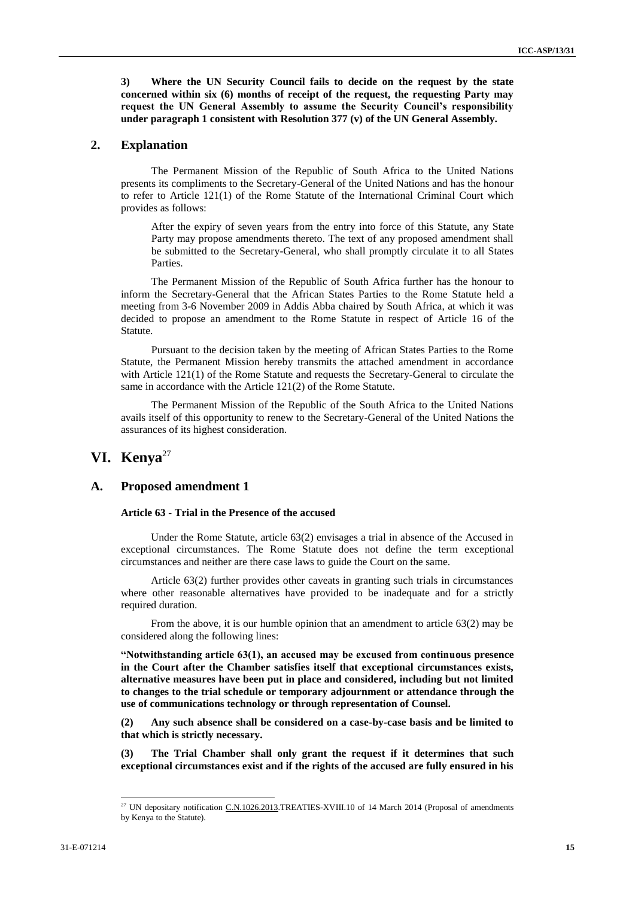**3) Where the UN Security Council fails to decide on the request by the state concerned within six (6) months of receipt of the request, the requesting Party may request the UN General Assembly to assume the Security Council's responsibility under paragraph 1 consistent with Resolution 377 (v) of the UN General Assembly.**

### **2. Explanation**

The Permanent Mission of the Republic of South Africa to the United Nations presents its compliments to the Secretary-General of the United Nations and has the honour to refer to Article 121(1) of the Rome Statute of the International Criminal Court which provides as follows:

After the expiry of seven years from the entry into force of this Statute, any State Party may propose amendments thereto. The text of any proposed amendment shall be submitted to the Secretary-General, who shall promptly circulate it to all States Parties.

The Permanent Mission of the Republic of South Africa further has the honour to inform the Secretary-General that the African States Parties to the Rome Statute held a meeting from 3-6 November 2009 in Addis Abba chaired by South Africa, at which it was decided to propose an amendment to the Rome Statute in respect of Article 16 of the Statute.

Pursuant to the decision taken by the meeting of African States Parties to the Rome Statute, the Permanent Mission hereby transmits the attached amendment in accordance with Article 121(1) of the Rome Statute and requests the Secretary-General to circulate the same in accordance with the Article 121(2) of the Rome Statute.

The Permanent Mission of the Republic of the South Africa to the United Nations avails itself of this opportunity to renew to the Secretary-General of the United Nations the assurances of its highest consideration.

## **VI. Kenya**<sup>27</sup>

### **A. Proposed amendment 1**

#### **Article 63 - Trial in the Presence of the accused**

Under the Rome Statute, article 63(2) envisages a trial in absence of the Accused in exceptional circumstances. The Rome Statute does not define the term exceptional circumstances and neither are there case laws to guide the Court on the same.

Article 63(2) further provides other caveats in granting such trials in circumstances where other reasonable alternatives have provided to be inadequate and for a strictly required duration.

From the above, it is our humble opinion that an amendment to article 63(2) may be considered along the following lines:

**"Notwithstanding article 63(1), an accused may be excused from continuous presence in the Court after the Chamber satisfies itself that exceptional circumstances exists, alternative measures have been put in place and considered, including but not limited to changes to the trial schedule or temporary adjournment or attendance through the use of communications technology or through representation of Counsel.**

**(2) Any such absence shall be considered on a case-by-case basis and be limited to that which is strictly necessary.**

**(3) The Trial Chamber shall only grant the request if it determines that such exceptional circumstances exist and if the rights of the accused are fully ensured in his** 

 $\overline{a}$ 

<sup>&</sup>lt;sup>27</sup> UN depositary notification  $C.N.1026.2013. TREATIES-XVIII.10$  of 14 March 2014 (Proposal of amendments by Kenya to the Statute).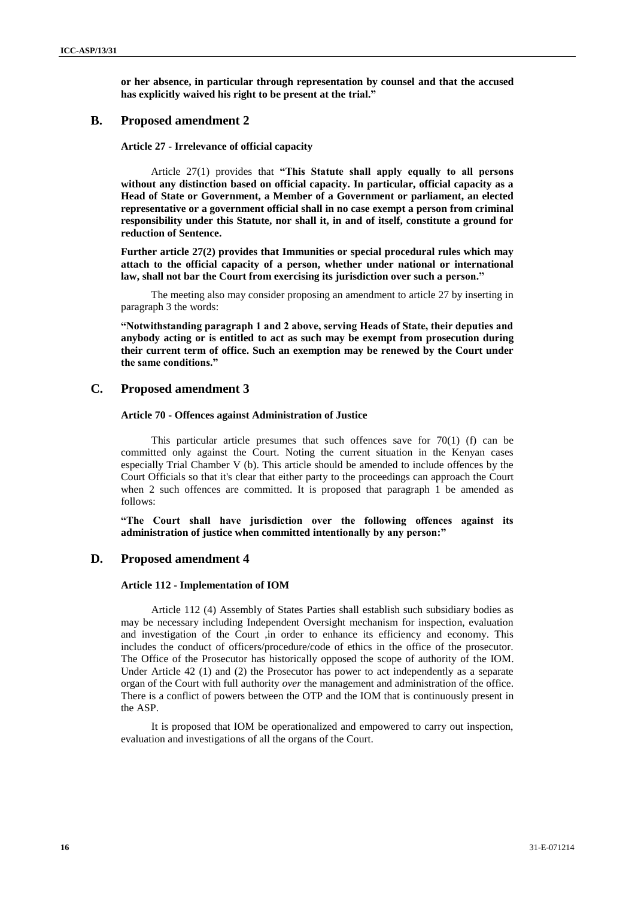**or her absence, in particular through representation by counsel and that the accused has explicitly waived his right to be present at the trial."**

### **B. Proposed amendment 2**

**Article 27 - Irrelevance of official capacity**

Article 27(1) provides that **"This Statute shall apply equally to all persons without any distinction based on official capacity. In particular, official capacity as a Head of State or Government, a Member of a Government or parliament, an elected representative or a government official shall in no case exempt a person from criminal responsibility under this Statute, nor shall it, in and of itself, constitute a ground for reduction of Sentence.**

**Further article 27(2) provides that Immunities or special procedural rules which may attach to the official capacity of a person, whether under national or international law, shall not bar the Court from exercising its jurisdiction over such a person."**

The meeting also may consider proposing an amendment to article 27 by inserting in paragraph 3 the words:

**"Notwithstanding paragraph 1 and 2 above, serving Heads of State, their deputies and anybody acting or is entitled to act as such may be exempt from prosecution during their current term of office. Such an exemption may be renewed by the Court under the same conditions."**

### **C. Proposed amendment 3**

#### **Article 70 - Offences against Administration of Justice**

This particular article presumes that such offences save for  $70(1)$  (f) can be committed only against the Court. Noting the current situation in the Kenyan cases especially Trial Chamber V (b). This article should be amended to include offences by the Court Officials so that it's clear that either party to the proceedings can approach the Court when 2 such offences are committed. It is proposed that paragraph 1 be amended as follows:

**"The Court shall have jurisdiction over the following offences against its administration of justice when committed intentionally by any person:"**

### **D. Proposed amendment 4**

#### **Article 112 - Implementation of IOM**

Article 112 (4) Assembly of States Parties shall establish such subsidiary bodies as may be necessary including Independent Oversight mechanism for inspection, evaluation and investigation of the Court ,in order to enhance its efficiency and economy. This includes the conduct of officers/procedure/code of ethics in the office of the prosecutor. The Office of the Prosecutor has historically opposed the scope of authority of the IOM. Under Article 42 (1) and (2) the Prosecutor has power to act independently as a separate organ of the Court with full authority *over* the management and administration of the office. There is a conflict of powers between the OTP and the IOM that is continuously present in the ASP.

It is proposed that IOM be operationalized and empowered to carry out inspection, evaluation and investigations of all the organs of the Court.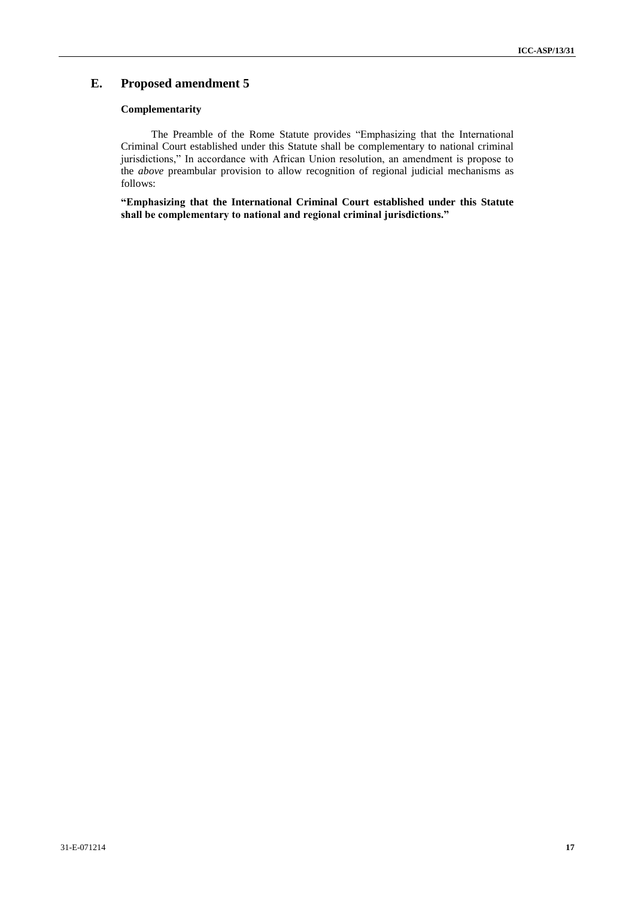## **E. Proposed amendment 5**

### **Complementarity**

The Preamble of the Rome Statute provides "Emphasizing that the International Criminal Court established under this Statute shall be complementary to national criminal jurisdictions," In accordance with African Union resolution, an amendment is propose to the *above* preambular provision to allow recognition of regional judicial mechanisms as follows:

**"Emphasizing that the International Criminal Court established under this Statute shall be complementary to national and regional criminal jurisdictions."**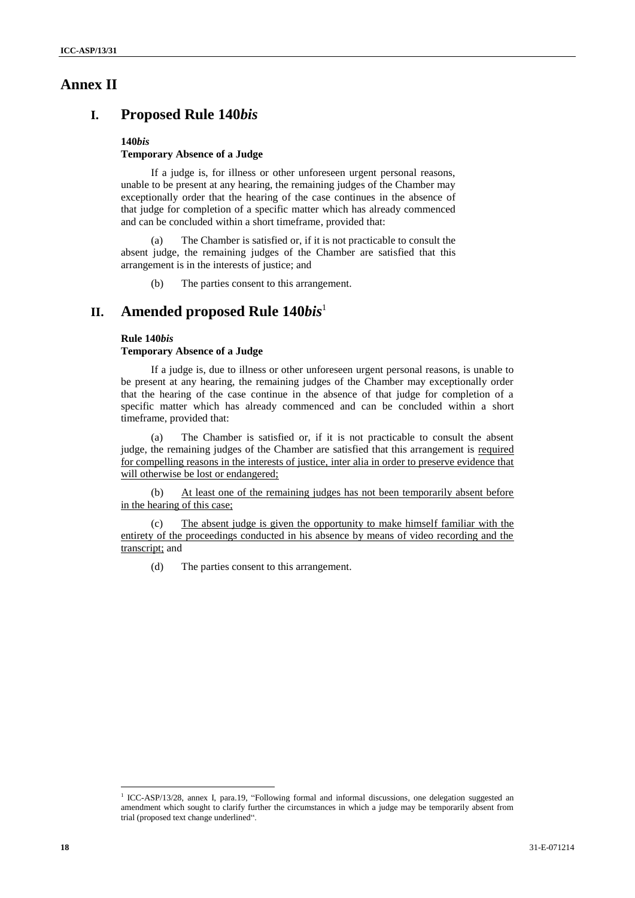## **Annex II**

# **I. Proposed Rule 140***bis*

#### **140***bis*

### **Temporary Absence of a Judge**

If a judge is, for illness or other unforeseen urgent personal reasons, unable to be present at any hearing, the remaining judges of the Chamber may exceptionally order that the hearing of the case continues in the absence of that judge for completion of a specific matter which has already commenced and can be concluded within a short timeframe, provided that:

(a) The Chamber is satisfied or, if it is not practicable to consult the absent judge, the remaining judges of the Chamber are satisfied that this arrangement is in the interests of justice; and

(b) The parties consent to this arrangement.

# **II. Amended proposed Rule 140***bis*<sup>1</sup>

#### **Rule 140***bis*

#### **Temporary Absence of a Judge**

If a judge is, due to illness or other unforeseen urgent personal reasons, is unable to be present at any hearing, the remaining judges of the Chamber may exceptionally order that the hearing of the case continue in the absence of that judge for completion of a specific matter which has already commenced and can be concluded within a short timeframe, provided that:

(a) The Chamber is satisfied or, if it is not practicable to consult the absent judge, the remaining judges of the Chamber are satisfied that this arrangement is required for compelling reasons in the interests of justice, inter alia in order to preserve evidence that will otherwise be lost or endangered;

(b) At least one of the remaining judges has not been temporarily absent before in the hearing of this case;

(c) The absent judge is given the opportunity to make himself familiar with the entirety of the proceedings conducted in his absence by means of video recording and the transcript; and

(d) The parties consent to this arrangement.

l <sup>1</sup> ICC-ASP/13/28, annex I, para.19, "Following formal and informal discussions, one delegation suggested an amendment which sought to clarify further the circumstances in which a judge may be temporarily absent from trial (proposed text change underlined".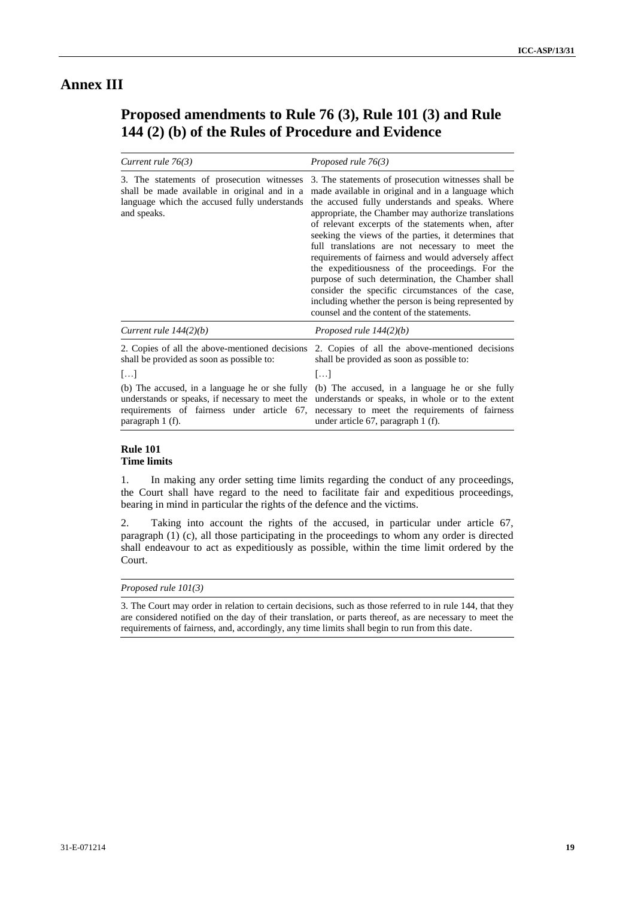# **Annex III**

# **Proposed amendments to Rule 76 (3), Rule 101 (3) and Rule 144 (2) (b) of the Rules of Procedure and Evidence**

| Current rule $76(3)$                                                                                                                                                                                                           | Proposed rule 76(3)                                                                                                                                                                                                                                                                                                                                                                                                                                                                                                                                                                                                                                                                                          |
|--------------------------------------------------------------------------------------------------------------------------------------------------------------------------------------------------------------------------------|--------------------------------------------------------------------------------------------------------------------------------------------------------------------------------------------------------------------------------------------------------------------------------------------------------------------------------------------------------------------------------------------------------------------------------------------------------------------------------------------------------------------------------------------------------------------------------------------------------------------------------------------------------------------------------------------------------------|
| 3. The statements of prosecution witnesses<br>shall be made available in original and in a<br>language which the accused fully understands<br>and speaks.                                                                      | 3. The statements of prosecution witnesses shall be<br>made available in original and in a language which<br>the accused fully understands and speaks. Where<br>appropriate, the Chamber may authorize translations<br>of relevant excerpts of the statements when, after<br>seeking the views of the parties, it determines that<br>full translations are not necessary to meet the<br>requirements of fairness and would adversely affect<br>the expeditiousness of the proceedings. For the<br>purpose of such determination, the Chamber shall<br>consider the specific circumstances of the case,<br>including whether the person is being represented by<br>counsel and the content of the statements. |
| Current rule $144(2)(b)$                                                                                                                                                                                                       | Proposed rule $144(2)(b)$                                                                                                                                                                                                                                                                                                                                                                                                                                                                                                                                                                                                                                                                                    |
| 2. Copies of all the above-mentioned decisions<br>shall be provided as soon as possible to:<br>$[\ldots]$<br>understands or speaks, if necessary to meet the<br>requirements of fairness under article 67,<br>paragraph 1 (f). | 2. Copies of all the above-mentioned decisions<br>shall be provided as soon as possible to:<br>$[\ldots]$<br>(b) The accused, in a language he or she fully (b) The accused, in a language he or she fully<br>understands or speaks, in whole or to the extent<br>necessary to meet the requirements of fairness<br>under article 67, paragraph 1 (f).                                                                                                                                                                                                                                                                                                                                                       |

#### **Rule 101 Time limits**

1. In making any order setting time limits regarding the conduct of any proceedings, the Court shall have regard to the need to facilitate fair and expeditious proceedings, bearing in mind in particular the rights of the defence and the victims.

2. Taking into account the rights of the accused, in particular under article 67, paragraph (1) (c), all those participating in the proceedings to whom any order is directed shall endeavour to act as expeditiously as possible, within the time limit ordered by the Court.

#### *Proposed rule 101(3)*

3. The Court may order in relation to certain decisions, such as those referred to in rule 144, that they are considered notified on the day of their translation, or parts thereof, as are necessary to meet the requirements of fairness, and, accordingly, any time limits shall begin to run from this date.